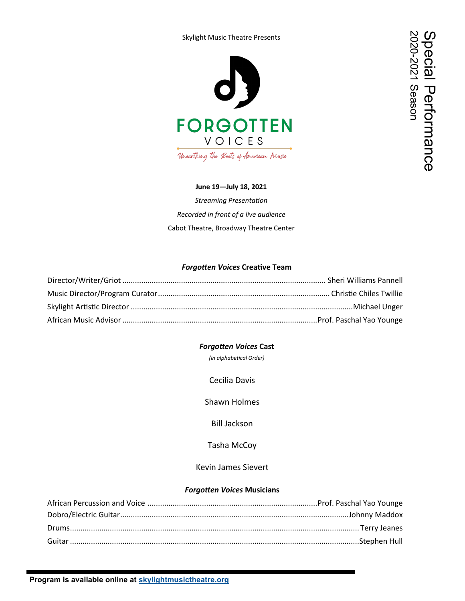#### Skylight Music Theatre Presents



### **June 19—July 18, 2021**

*Streaming Presentation Recorded in front of a live audience* Cabot Theatre, Broadway Theatre Center

### *Forgotten Voices* **Creative Team**

### *Forgotten Voices* **Cast**

*(in alphabetical Order)*

Cecilia Davis

Shawn Holmes

Bill Jackson

Tasha McCoy

Kevin James Sievert

#### *Forgotten Voices* **Musicians**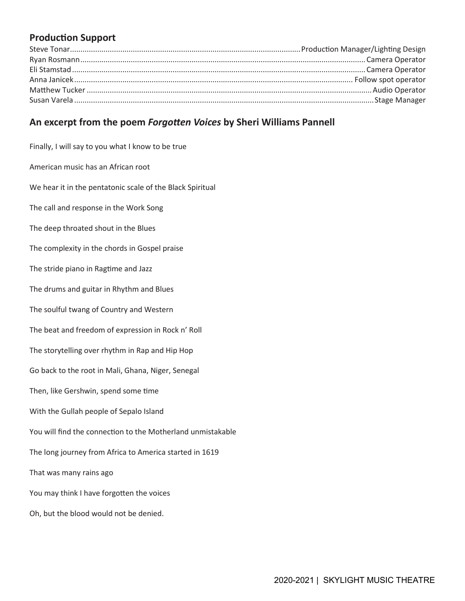# **Production Support**

# **An excerpt from the poem** *Forgotten Voices* **by Sheri Williams Pannell**

Finally, I will say to you what I know to be true American music has an African root We hear it in the pentatonic scale of the Black Spiritual The call and response in the Work Song The deep throated shout in the Blues The complexity in the chords in Gospel praise The stride piano in Ragtime and Jazz The drums and guitar in Rhythm and Blues The soulful twang of Country and Western The beat and freedom of expression in Rock n' Roll The storytelling over rhythm in Rap and Hip Hop Go back to the root in Mali, Ghana, Niger, Senegal Then, like Gershwin, spend some time With the Gullah people of Sepalo Island You will find the connection to the Motherland unmistakable The long journey from Africa to America started in 1619 That was many rains ago You may think I have forgotten the voices Oh, but the blood would not be denied.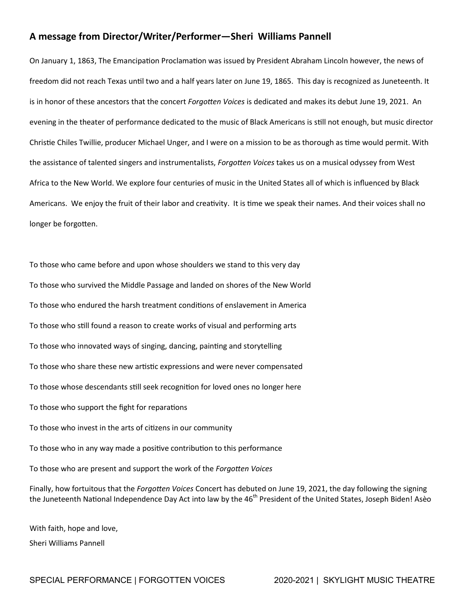## **A message from Director/Writer/Performer—Sheri Williams Pannell**

On January 1, 1863, The Emancipation Proclamation was issued by President Abraham Lincoln however, the news of freedom did not reach Texas until two and a half years later on June 19, 1865. This day is recognized as Juneteenth. It is in honor of these ancestors that the concert *Forgotten Voices* is dedicated and makes its debut June 19, 2021. An evening in the theater of performance dedicated to the music of Black Americans is still not enough, but music director Christie Chiles Twillie, producer Michael Unger, and I were on a mission to be as thorough as time would permit. With the assistance of talented singers and instrumentalists, *Forgotten Voices* takes us on a musical odyssey from West Africa to the New World. We explore four centuries of music in the United States all of which is influenced by Black Americans. We enjoy the fruit of their labor and creativity. It is time we speak their names. And their voices shall no longer be forgotten.

To those who came before and upon whose shoulders we stand to this very day To those who survived the Middle Passage and landed on shores of the New World To those who endured the harsh treatment conditions of enslavement in America To those who still found a reason to create works of visual and performing arts To those who innovated ways of singing, dancing, painting and storytelling To those who share these new artistic expressions and were never compensated To those whose descendants still seek recognition for loved ones no longer here To those who support the fight for reparations To those who invest in the arts of citizens in our community To those who in any way made a positive contribution to this performance To those who are present and support the work of the *Forgotten Voices* Finally, how fortuitous that the *Forgotten Voices* Concert has debuted on June 19, 2021, the day following the signing the Juneteenth National Independence Day Act into law by the 46<sup>th</sup> President of the United States, Joseph Biden! Asèo

With faith, hope and love, Sheri Williams Pannell

SPECIAL PERFORMANCE | FORGOTTEN VOICES 2020-2021 | SKYLIGHT MUSIC THEATRE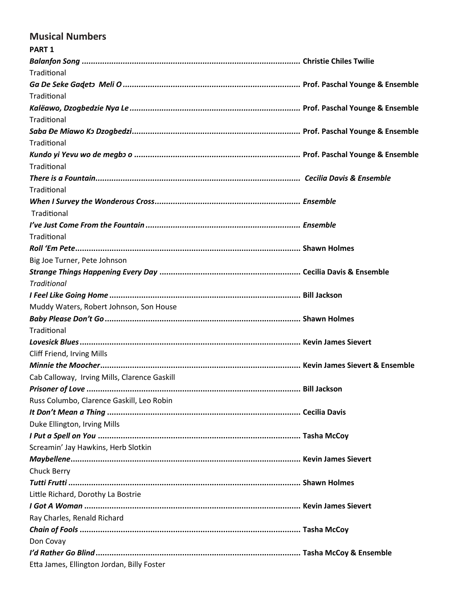# **Musical Numbers**

| <b>PART 1</b>                                |  |
|----------------------------------------------|--|
|                                              |  |
| Traditional                                  |  |
|                                              |  |
| Traditional                                  |  |
|                                              |  |
| Traditional                                  |  |
|                                              |  |
| Traditional                                  |  |
|                                              |  |
| Traditional                                  |  |
|                                              |  |
| Traditional                                  |  |
|                                              |  |
| Traditional                                  |  |
|                                              |  |
| Traditional                                  |  |
|                                              |  |
| Big Joe Turner, Pete Johnson                 |  |
|                                              |  |
| <b>Traditional</b>                           |  |
|                                              |  |
| Muddy Waters, Robert Johnson, Son House      |  |
|                                              |  |
| Traditional                                  |  |
|                                              |  |
| Cliff Friend, Irving Mills                   |  |
|                                              |  |
| Cab Calloway, Irving Mills, Clarence Gaskill |  |
|                                              |  |
| Russ Columbo, Clarence Gaskill, Leo Robin    |  |
|                                              |  |
| Duke Ellington, Irving Mills                 |  |
|                                              |  |
| Screamin' Jay Hawkins, Herb Slotkin          |  |
|                                              |  |
| Chuck Berry                                  |  |
|                                              |  |
| Little Richard, Dorothy La Bostrie           |  |
|                                              |  |
| Ray Charles, Renald Richard                  |  |
|                                              |  |
| Don Covay                                    |  |
|                                              |  |
| Etta James, Ellington Jordan, Billy Foster   |  |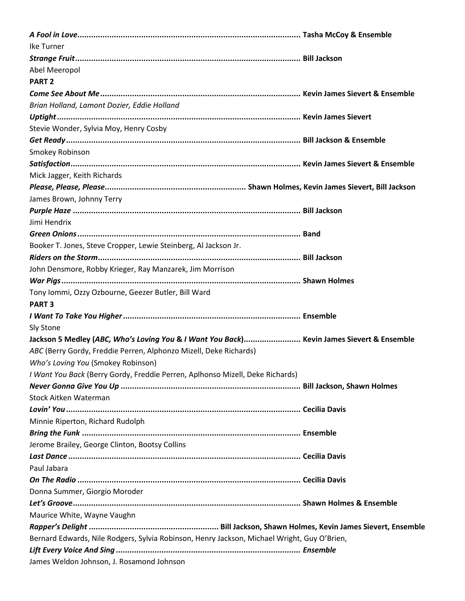| Ike Turner                                                                                  |  |  |
|---------------------------------------------------------------------------------------------|--|--|
|                                                                                             |  |  |
| Abel Meeropol                                                                               |  |  |
| <b>PART 2</b>                                                                               |  |  |
|                                                                                             |  |  |
| Brian Holland, Lamont Dozier, Eddie Holland                                                 |  |  |
|                                                                                             |  |  |
| Stevie Wonder, Sylvia Moy, Henry Cosby                                                      |  |  |
|                                                                                             |  |  |
| Smokey Robinson                                                                             |  |  |
|                                                                                             |  |  |
| Mick Jagger, Keith Richards                                                                 |  |  |
|                                                                                             |  |  |
| James Brown, Johnny Terry                                                                   |  |  |
|                                                                                             |  |  |
| Jimi Hendrix                                                                                |  |  |
|                                                                                             |  |  |
| Booker T. Jones, Steve Cropper, Lewie Steinberg, Al Jackson Jr.                             |  |  |
|                                                                                             |  |  |
| John Densmore, Robby Krieger, Ray Manzarek, Jim Morrison                                    |  |  |
|                                                                                             |  |  |
| Tony Iommi, Ozzy Ozbourne, Geezer Butler, Bill Ward                                         |  |  |
| <b>PART 3</b>                                                                               |  |  |
|                                                                                             |  |  |
| Sly Stone                                                                                   |  |  |
| Jackson 5 Medley (ABC, Who's Loving You & I Want You Back) Kevin James Sievert & Ensemble   |  |  |
| ABC (Berry Gordy, Freddie Perren, Alphonzo Mizell, Deke Richards)                           |  |  |
| Who's Loving You (Smokey Robinson)                                                          |  |  |
| I Want You Back (Berry Gordy, Freddie Perren, Aplhonso Mizell, Deke Richards)               |  |  |
|                                                                                             |  |  |
| <b>Stock Aitken Waterman</b>                                                                |  |  |
|                                                                                             |  |  |
| Minnie Riperton, Richard Rudolph                                                            |  |  |
|                                                                                             |  |  |
| Jerome Brailey, George Clinton, Bootsy Collins                                              |  |  |
|                                                                                             |  |  |
| Paul Jabara                                                                                 |  |  |
|                                                                                             |  |  |
| Donna Summer, Giorgio Moroder                                                               |  |  |
|                                                                                             |  |  |
| Maurice White, Wayne Vaughn                                                                 |  |  |
|                                                                                             |  |  |
| Bernard Edwards, Nile Rodgers, Sylvia Robinson, Henry Jackson, Michael Wright, Guy O'Brien, |  |  |
|                                                                                             |  |  |
| James Weldon Johnson, J. Rosamond Johnson                                                   |  |  |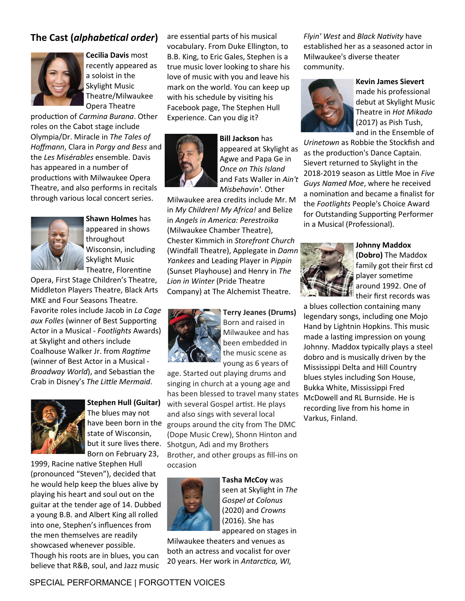## **The Cast (***alphabetical order***)**



**Cecilia Davis** most recently appeared as a soloist in the Skylight Music Theatre/Milwaukee Opera Theatre

production of *Carmina Burana*. Other roles on the Cabot stage include Olympia/Dr. Miracle in *The Tales of Hoffmann*, Clara in *Porgy and Bess* and the *Les Misérables* ensemble. Davis has appeared in a number of productions with Milwaukee Opera Theatre, and also performs in recitals through various local concert series.



**Shawn Holmes** has appeared in shows throughout Wisconsin, including Skylight Music Theatre, Florentine

Opera, First Stage Children's Theatre, Middleton Players Theatre, Black Arts MKE and Four Seasons Theatre. Favorite roles include Jacob in *La Cage aux Folles* (winner of Best Supporting Actor in a Musical - *Footlights* Awards) at Skylight and others include Coalhouse Walker Jr. from *Ragtime* (winner of Best Actor in a Musical - *Broadway World*), and Sebastian the Crab in Disney's *The Little Mermaid*.



**Stephen Hull (Guitar)**  The blues may not have been born in the state of Wisconsin, but it sure lives there. Born on February 23,

1999, Racine native Stephen Hull (pronounced "Steven"), decided that he would help keep the blues alive by playing his heart and soul out on the guitar at the tender age of 14. Dubbed a young B.B. and Albert King all rolled into one, Stephen's influences from the men themselves are readily showcased whenever possible. Though his roots are in blues, you can believe that R&B, soul, and Jazz music

are essential parts of his musical vocabulary. From Duke Ellington, to B.B. King, to Eric Gales, Stephen is a true music lover looking to share his love of music with you and leave his mark on the world. You can keep up with his schedule by visiting his Facebook page, The Stephen Hull Experience. Can you dig it?



**Bill Jackson** has appeared at Skylight as Agwe and Papa Ge in *Once on This Island* and Fats Waller in *Ain't Misbehavin'*. Other

Milwaukee area credits include Mr. M in *My Children! My Africa!* and Belize in *Angels in America: Perestroika*  (Milwaukee Chamber Theatre), Chester Kimmich in *Storefront Church* (Windfall Theatre), Applegate in *Damn Yankees* and Leading Player in *Pippin* (Sunset Playhouse) and Henry in *The Lion in Winter* (Pride Theatre Company) at The Alchemist Theatre.



**Terry Jeanes (Drums)**  Born and raised in Milwaukee and has been embedded in the music scene as young as 6 years of

age. Started out playing drums and singing in church at a young age and has been blessed to travel many states with several Gospel artist. He plays and also sings with several local groups around the city from The DMC (Dope Music Crew), Shonn Hinton and Shotgun, Adi and my Brothers Brother, and other groups as fill-ins on occasion



**Tasha McCoy** was seen at Skylight in *The Gospel at Colonus* (2020) and *Crowns* (2016). She has appeared on stages in

Milwaukee theaters and venues as both an actress and vocalist for over 20 years. Her work in *Antarctica, WI,*  *Flyin' West* and *Black Nativity* have established her as a seasoned actor in Milwaukee's diverse theater community.



**Kevin James Sievert**  made his professional debut at Skylight Music Theatre in *Hot Mikado*  (2017) as Pish Tush, and in the Ensemble of

*Urinetown* as Robbie the Stockfish and as the production's Dance Captain. Sievert returned to Skylight in the 2018-2019 season as Little Moe in *Five Guys Named Moe*, where he received a nomination and became a finalist for the *Footlights* People's Choice Award for Outstanding Supporting Performer in a Musical (Professional).



**Johnny Maddox (Dobro)** The Maddox family got their first cd player sometime around 1992. One of their first records was

a blues collection containing many legendary songs, including one Mojo Hand by Lightnin Hopkins. This music made a lasting impression on young Johnny. Maddox typically plays a steel dobro and is musically driven by the Mississippi Delta and Hill Country blues styles including Son House, Bukka White, Mississippi Fred McDowell and RL Burnside. He is recording live from his home in Varkus, Finland.

SPECIAL PERFORMANCE | FORGOTTEN VOICES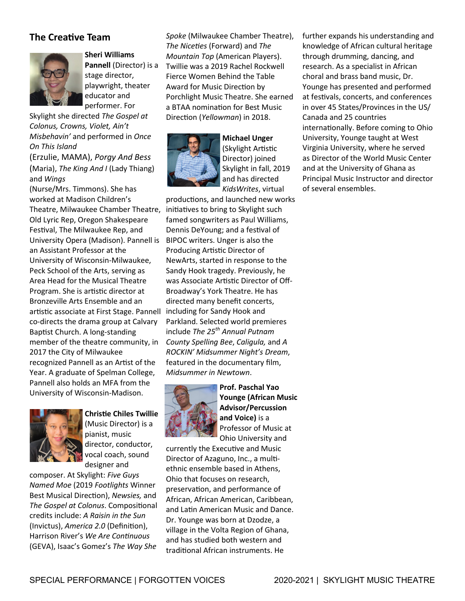## **The Creative Team**



**Sheri Williams Pannell** (Director) is a stage director, playwright, theater educator and performer. For

Skylight she directed *The Gospel at Colonus, Crowns, Violet, Ain't Misbehavin'* and performed in *Once On This Island* 

(Erzulie, MAMA), *Porgy And Bess*  (Maria), *The King And I* (Lady Thiang) and *Wings* 

(Nurse/Mrs. Timmons). She has worked at Madison Children's Theatre, Milwaukee Chamber Theatre, Old Lyric Rep, Oregon Shakespeare Festival, The Milwaukee Rep, and University Opera (Madison). Pannell is an Assistant Professor at the University of Wisconsin-Milwaukee, Peck School of the Arts, serving as Area Head for the Musical Theatre Program. She is artistic director at Bronzeville Arts Ensemble and an artistic associate at First Stage. Pannell co-directs the drama group at Calvary Baptist Church. A long-standing member of the theatre community, in 2017 the City of Milwaukee recognized Pannell as an Artist of the Year. A graduate of Spelman College, Pannell also holds an MFA from the University of Wisconsin-Madison.



### **Christie Chiles Twillie** (Music Director) is a pianist, music director, conductor,

vocal coach, sound designer and

composer. At Skylight: *Five Guys Named Moe* (2019 *Footlights* Winner Best Musical Direction), *Newsies,* and *The Gospel at Colonus*. Compositional credits include: *A Raisin in the Sun* (Invictus), *America 2.0* (Definition), Harrison River's *We Are Continuous* (GEVA), Isaac's Gomez's *The Way She* 

*Spoke* (Milwaukee Chamber Theatre), *The Niceties* (Forward) and *The Mountain Top* (American Players). Twillie was a 2019 Rachel Rockwell Fierce Women Behind the Table Award for Music Direction by Porchlight Music Theatre. She earned a BTAA nomination for Best Music Direction (*Yellowman*) in 2018.



**Michael Unger**  (Skylight Artistic Director) joined Skylight in fall, 2019 and has directed *KidsWrites*, virtual

productions, and launched new works initiatives to bring to Skylight such famed songwriters as Paul Williams, Dennis DeYoung; and a festival of BIPOC writers. Unger is also the Producing Artistic Director of NewArts, started in response to the Sandy Hook tragedy. Previously, he was Associate Artistic Director of Off-Broadway's York Theatre. He has directed many benefit concerts, including for Sandy Hook and Parkland. Selected world premieres include *The 25th Annual Putnam County Spelling Bee*, *Caligula,* and *A ROCKIN' Midsummer Night's Dream*, featured in the documentary film, *Midsummer in Newtown*.



**Prof. Paschal Yao Younge (African Music Advisor/Percussion and Voice)** is a Professor of Music at Ohio University and

currently the Executive and Music Director of Azaguno, Inc., a multiethnic ensemble based in Athens, Ohio that focuses on research, preservation, and performance of African, African American, Caribbean, and Latin American Music and Dance. Dr. Younge was born at Dzodze, a village in the Volta Region of Ghana, and has studied both western and traditional African instruments. He

further expands his understanding and knowledge of African cultural heritage through drumming, dancing, and research. As a specialist in African choral and brass band music, Dr. Younge has presented and performed at festivals, concerts, and conferences in over 45 States/Provinces in the US/ Canada and 25 countries internationally. Before coming to Ohio University, Younge taught at West Virginia University, where he served as Director of the World Music Center and at the University of Ghana as Principal Music Instructor and director of several ensembles.